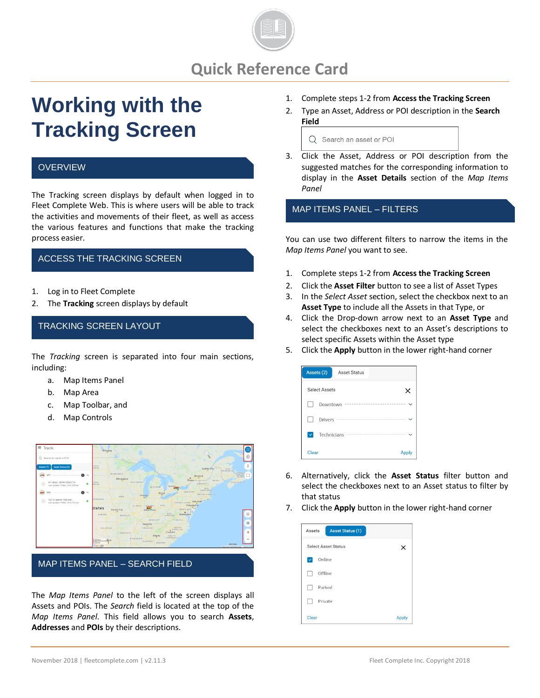

# **Quick Reference Card**

# **Working with the Tracking Screen**

#### **OVERVIEW**

The Tracking screen displays by default when logged in to Fleet Complete Web. This is where users will be able to track the activities and movements of their fleet, as well as access the various features and functions that make the tracking process easier.

## ACCESS THE TRACKING SCREEN

- 1. Log in to Fleet Complete
- 2. The **Tracking** screen displays by default

#### TRACKING SCREEN LAYOUT

The *Tracking* screen is separated into four main sections, including:

- a. Map Items Panel
- b. Map Area
- c. Map Toolbar, and
- d. Map Controls



MAP ITEMS PANEL – SEARCH FIELD

The *Map Items Panel* to the left of the screen displays all Assets and POIs. The *Search* field is located at the top of the *Map Items Panel*. This field allows you to search **Assets**, **Addresses** and **POIs** by their descriptions.

- 1. Complete steps 1-2 from **Access the Tracking Screen**
- 2. Type an Asset, Address or POI description in the **Search Field**

Q Search an asset or POI

3. Click the Asset, Address or POI description from the suggested matches for the corresponding information to display in the **Asset Details** section of the *Map Items Panel*

MAP ITEMS PANEL – FILTERS

You can use two different filters to narrow the items in the *Map Items Panel* you want to see.

- 1. Complete steps 1-2 from **Access the Tracking Screen**
- 2. Click the **Asset Filter** button to see a list of Asset Types
- 3. In the *Select Asset* section, select the checkbox next to an **Asset Type** to include all the Assets in that Type, or
- 4. Click the Drop-down arrow next to an **Asset Type** and select the checkboxes next to an Asset's descriptions to select specific Assets within the Asset type
- 5. Click the **Apply** button in the lower right-hand corner

| Assets (2)                  | Asset Status |       |
|-----------------------------|--------------|-------|
| Select Assets               |              | ×     |
| Downtown                    |              |       |
| Drivers                     |              | .     |
| Technicians<br>$\checkmark$ |              |       |
| Clear                       |              | Apply |

- 6. Alternatively, click the **Asset Status** filter button and select the checkboxes next to an Asset status to filter by that status
- 7. Click the **Apply** button in the lower right-hand corner

| <b>Asset Status (1)</b><br>Assets |              |
|-----------------------------------|--------------|
| <b>Select Asset Status</b>        | ×            |
| Online                            |              |
| Offline                           |              |
| Parked                            |              |
| Private                           |              |
| <b>Clear</b>                      | <b>Apply</b> |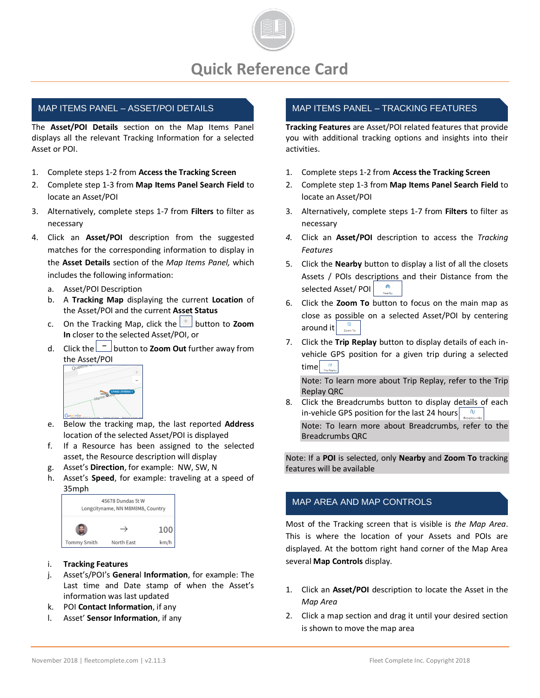

# MAP ITEMS PANEL – ASSET/POI DETAILS

The **Asset/POI Details** section on the Map Items Panel displays all the relevant Tracking Information for a selected Asset or POI.

- 1. Complete steps 1-2 from **Access the Tracking Screen**
- 2. Complete step 1-3 from **Map Items Panel Search Field** to locate an Asset/POI
- 3. Alternatively, complete steps 1-7 from **Filters** to filter as necessary
- 4. Click an **Asset/POI** description from the suggested matches for the corresponding information to display in the **Asset Details** section of the *Map Items Panel,* which includes the following information:
	- a. Asset/POI Description
	- b. A **Tracking Map** displaying the current **Location** of the Asset/POI and the current **Asset Status**
	- c. On the Tracking Map, click the **button to Zoom In** closer to the selected Asset/POI, or
	- d. Click the **button to Zoom Out** further away from the Asset/POI



- e. Below the tracking map, the last reported **Address** location of the selected Asset/POI is displayed
- f. If a Resource has been assigned to the selected asset, the Resource description will display
- g. Asset's **Direction**, for example: NW, SW, N
- h. Asset's **Speed**, for example: traveling at a speed of 35mph



#### i. **Tracking Features**

- j. Asset's/POI's **Genera**l **Information**, for example: The Last time and Date stamp of when the Asset's information was last updated
- k. POI **Contact Information**, if any
- l. Asset' **Sensor Information**, if any

# MAP ITEMS PANEL – TRACKING FEATURES

**Tracking Features** are Asset/POI related features that provide you with additional tracking options and insights into their activities.

- 1. Complete steps 1-2 from **Access the Tracking Screen**
- 2. Complete step 1-3 from **Map Items Panel Search Field** to locate an Asset/POI
- 3. Alternatively, complete steps 1-7 from **Filters** to filter as necessary
- *4.* Click an **Asset/POI** description to access the *Tracking Features*
- 5. Click the **Nearby** button to display a list of all the closets Assets / POIs descriptions and their Distance from the selected Asset/ POI
- 6. Click the **Zoom To** button to focus on the main map as close as possible on a selected Asset/POI by centering around it  $\frac{a}{z_{\text{comm}}}$
- 7. Click the **Trip Replay** button to display details of each invehicle GPS position for a given trip during a selected time $\frac{w}{\sqrt{w}}$

Note: To learn more about Trip Replay, refer to the Trip Replay QRC

8. Click the Breadcrumbs button to display details of each in-vehicle GPS position for the last 24 hours

Note: To learn more about Breadcrumbs, refer to the Breadcrumbs QRC

Note: If a **POI** is selected, only **Nearby** and **Zoom To** tracking features will be available

# MAP AREA AND MAP CONTROLS

Most of the Tracking screen that is visible is *the Map Area*. This is where the location of your Assets and POIs are displayed. At the bottom right hand corner of the Map Area several **Map Controls** display.

- 1. Click an **Asset/POI** description to locate the Asset in the *Map Area*
- 2. Click a map section and drag it until your desired section is shown to move the map area